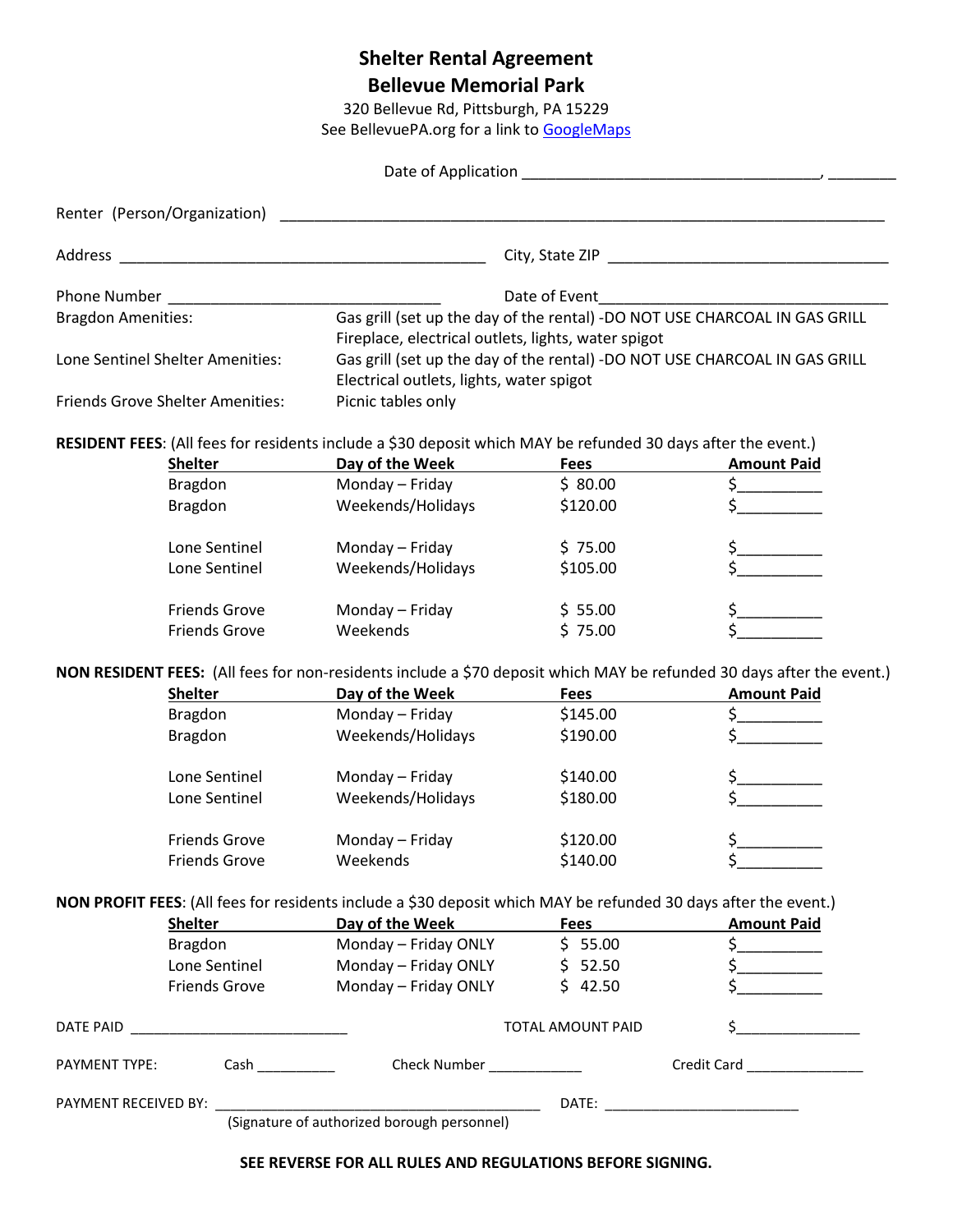## **Shelter Rental Agreement**

**Bellevue Memorial Park**

320 Bellevue Rd, Pittsburgh, PA 15229

See BellevuePA.org for a link to [GoogleMaps](https://www.google.com/maps/place/Bellevue+Memorial+Park+%26+Pool/@40.506086,-80.0451842,17z/data=!4m13!1m7!3m6!1s0x8834f4e7d2a69647:0xce8d1e2a1a6a243e!2s320+Bellevue+Rd,+Pittsburgh,+PA+15229!3b1!8m2!3d40.5060819!4d-80.0429955!3m4!1s0x8834f4e894a69431:0x2f33beb4ba821c77!8m2!3d40.5060819!4d-80.0429955)

|                           | Renter (Person/Organization)            |                                                                                                                 |                                                     |                                                                                                                                             |  |
|---------------------------|-----------------------------------------|-----------------------------------------------------------------------------------------------------------------|-----------------------------------------------------|---------------------------------------------------------------------------------------------------------------------------------------------|--|
| Address                   |                                         |                                                                                                                 |                                                     |                                                                                                                                             |  |
|                           |                                         |                                                                                                                 | Date of Event                                       |                                                                                                                                             |  |
| <b>Bragdon Amenities:</b> |                                         |                                                                                                                 |                                                     | Gas grill (set up the day of the rental) -DO NOT USE CHARCOAL IN GAS GRILL                                                                  |  |
|                           |                                         |                                                                                                                 | Fireplace, electrical outlets, lights, water spigot |                                                                                                                                             |  |
|                           | Lone Sentinel Shelter Amenities:        |                                                                                                                 |                                                     | Gas grill (set up the day of the rental) -DO NOT USE CHARCOAL IN GAS GRILL                                                                  |  |
|                           |                                         | Electrical outlets, lights, water spigot                                                                        |                                                     |                                                                                                                                             |  |
|                           | <b>Friends Grove Shelter Amenities:</b> | Picnic tables only                                                                                              |                                                     |                                                                                                                                             |  |
|                           |                                         | RESIDENT FEES: (All fees for residents include a \$30 deposit which MAY be refunded 30 days after the event.)   |                                                     |                                                                                                                                             |  |
|                           | <b>Shelter</b>                          | Day of the Week                                                                                                 | <b>Fees</b>                                         | <b>Amount Paid</b>                                                                                                                          |  |
|                           | Bragdon                                 | Monday - Friday                                                                                                 | \$80.00                                             | $\frac{1}{2}$                                                                                                                               |  |
|                           | <b>Bragdon</b>                          | Weekends/Holidays                                                                                               | \$120.00                                            |                                                                                                                                             |  |
|                           | Lone Sentinel                           | Monday - Friday                                                                                                 | \$75.00                                             |                                                                                                                                             |  |
|                           | Lone Sentinel                           | Weekends/Holidays                                                                                               | \$105.00                                            |                                                                                                                                             |  |
|                           |                                         |                                                                                                                 |                                                     |                                                                                                                                             |  |
|                           | <b>Friends Grove</b>                    | Monday - Friday                                                                                                 | \$55.00                                             |                                                                                                                                             |  |
|                           | <b>Friends Grove</b>                    | Weekends                                                                                                        | \$75.00                                             |                                                                                                                                             |  |
|                           |                                         |                                                                                                                 |                                                     |                                                                                                                                             |  |
|                           | <b>Shelter</b>                          | Day of the Week                                                                                                 | <b>Fees</b>                                         | NON RESIDENT FEES: (All fees for non-residents include a \$70 deposit which MAY be refunded 30 days after the event.)<br><b>Amount Paid</b> |  |
|                           | Bragdon                                 | Monday - Friday                                                                                                 | \$145.00                                            |                                                                                                                                             |  |
|                           | <b>Bragdon</b>                          | Weekends/Holidays                                                                                               | \$190.00                                            |                                                                                                                                             |  |
|                           |                                         |                                                                                                                 |                                                     |                                                                                                                                             |  |
|                           | Lone Sentinel                           | Monday - Friday                                                                                                 | \$140.00                                            |                                                                                                                                             |  |
|                           | Lone Sentinel                           | Weekends/Holidays                                                                                               | \$180.00                                            |                                                                                                                                             |  |
|                           | <b>Friends Grove</b>                    | Monday - Friday                                                                                                 | \$120.00                                            |                                                                                                                                             |  |
|                           | <b>Friends Grove</b>                    | Weekends                                                                                                        |                                                     | \$<br>\$                                                                                                                                    |  |
|                           |                                         |                                                                                                                 | \$140.00                                            |                                                                                                                                             |  |
|                           |                                         | NON PROFIT FEES: (All fees for residents include a \$30 deposit which MAY be refunded 30 days after the event.) |                                                     |                                                                                                                                             |  |
|                           | <b>Shelter</b>                          | Day of the Week                                                                                                 | <b>Fees</b>                                         | <b>Amount Paid</b>                                                                                                                          |  |
|                           | <b>Bragdon</b>                          | Monday - Friday ONLY                                                                                            | \$55.00                                             | $\frac{1}{2}$                                                                                                                               |  |
|                           | Lone Sentinel                           | Monday - Friday ONLY                                                                                            | \$52.50                                             |                                                                                                                                             |  |
|                           | <b>Friends Grove</b>                    | Monday - Friday ONLY                                                                                            | \$42.50                                             |                                                                                                                                             |  |
|                           |                                         |                                                                                                                 | TOTAL AMOUNT PAID                                   | \$                                                                                                                                          |  |
| PAYMENT TYPE:             |                                         | Check Number ___________                                                                                        |                                                     | Credit Card <b>Card</b>                                                                                                                     |  |
| PAYMENT RECEIVED BY:      |                                         |                                                                                                                 |                                                     |                                                                                                                                             |  |
|                           |                                         | (Signature of authorized borough personnel)                                                                     |                                                     |                                                                                                                                             |  |

## **SEE REVERSE FOR ALL RULES AND REGULATIONS BEFORE SIGNING.**